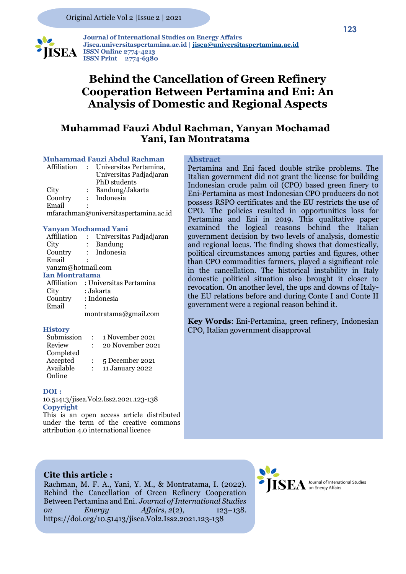

 **Journal of International Studies on Energy Affairs Jisea.universitaspertamina.ac.id [| jisea@universitaspertamina.ac.id](mailto:jisea@universitaspertamina.ac.id) ISSN Online 2774-4213 ISSN Print 2774-6380**

# **Behind the Cancellation of Green Refinery Cooperation Between Pertamina and Eni: An Analysis of Domestic and Regional Aspects**

### **Muhammad Fauzi Abdul Rachman, Yanyan Mochamad Yani, Ian Montratama**

### **Muhammad Fauzi Abdul Rachman**

| Affiliation | Universitas Pertamina,                |
|-------------|---------------------------------------|
|             | Universitas Padjadjaran               |
|             | PhD students                          |
| City        | Bandung/Jakarta                       |
| Country     | : Indonesia                           |
| Email       |                                       |
|             | mfarachman@universitaspertamina.ac.id |

#### **Yanyan Mochamad Yani**

| Affiliation         |                                     | Universitas Padjadjaran |  |  |  |
|---------------------|-------------------------------------|-------------------------|--|--|--|
| City                | $\ddot{\phantom{a}}$                | <b>Bandung</b>          |  |  |  |
| Country             |                                     | : Indonesia             |  |  |  |
| Email               |                                     |                         |  |  |  |
| yan2m@hotmail.com   |                                     |                         |  |  |  |
| Ian Montratama      |                                     |                         |  |  |  |
|                     | Affiliation : Universitas Pertamina |                         |  |  |  |
| City                | : Jakarta                           |                         |  |  |  |
| Country : Indonesia |                                     |                         |  |  |  |
| Email               |                                     |                         |  |  |  |
|                     |                                     | montratama@gmail.com    |  |  |  |

#### **History**

| Submission | 1 November 2021  |
|------------|------------------|
| Review     | 20 November 2021 |
| Completed  |                  |
| Accepted   | 5 December 2021  |
| Available  | 11 January 2022  |
| Online     |                  |

#### **DOI :**

10.51413/jisea.Vol2.Iss2.2021.123-138 **Copyright** 

This is an open access article distributed under the term of the creative commons attribution 4.0 international licence

### **Abstract**

Pertamina and Eni faced double strike problems. The Italian government did not grant the license for building Indonesian crude palm oil (CPO) based green finery to Eni-Pertamina as most Indonesian CPO producers do not possess RSPO certificates and the EU restricts the use of CPO. The policies resulted in opportunities loss for Pertamina and Eni in 2019. This qualitative paper examined the logical reasons behind the Italian government decision by two levels of analysis, domestic and regional locus. The finding shows that domestically, political circumstances among parties and figures, other than CPO commodities farmers, played a significant role in the cancellation. The historical instability in Italy domestic political situation also brought it closer to revocation. On another level, the ups and downs of Italythe EU relations before and during Conte I and Conte II government were a regional reason behind it.

**Key Words**: Eni-Pertamina, green refinery, Indonesian CPO, Italian government disapproval

### **Cite this article :**

Rachman, M. F. A., Yani, Y. M., & Montratama, I. (2022). Behind the Cancellation of Green Refinery Cooperation Between Pertamina and Eni. *Journal of International Studies on Energy Affairs*, *2*(2), 123–138. https://doi.org/10.51413/jisea.Vol2.Iss2.2021.123-138

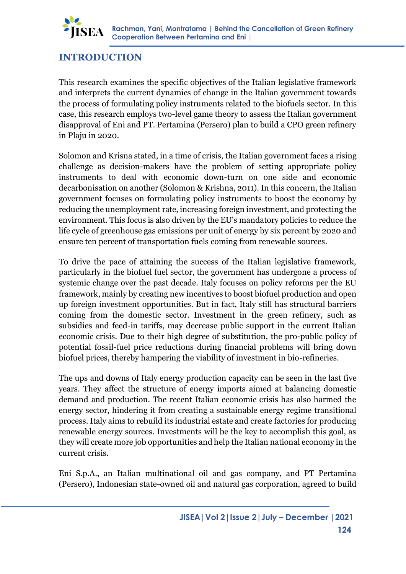

# **INTRODUCTION**

This research examines the specific objectives of the Italian legislative framework and interprets the current dynamics of change in the Italian government towards the process of formulating policy instruments related to the biofuels sector. In this case, this research employs two-level game theory to assess the Italian government disapproval of Eni and PT. Pertamina (Persero) plan to build a CPO green refinery in Plaju in 2020.

Solomon and Krisna stated, in a time of crisis, the Italian government faces a rising challenge as decision-makers have the problem of setting appropriate policy instruments to deal with economic down-turn on one side and economic decarbonisation on another (Solomon & Krishna, 2011). In this concern, the Italian government focuses on formulating policy instruments to boost the economy by reducing the unemployment rate, increasing foreign investment, and protecting the environment. This focus is also driven by the EU's mandatory policies to reduce the life cycle of greenhouse gas emissions per unit of energy by six percent by 2020 and ensure ten percent of transportation fuels coming from renewable sources.

To drive the pace of attaining the success of the Italian legislative framework, particularly in the biofuel fuel sector, the government has undergone a process of systemic change over the past decade. Italy focuses on policy reforms per the EU framework, mainly by creating new incentives to boost biofuel production and open up foreign investment opportunities. But in fact, Italy still has structural barriers coming from the domestic sector. Investment in the green refinery, such as subsidies and feed-in tariffs, may decrease public support in the current Italian economic crisis. Due to their high degree of substitution, the pro-public policy of potential fossil-fuel price reductions during financial problems will bring down biofuel prices, thereby hampering the viability of investment in bio-refineries.

The ups and downs of Italy energy production capacity can be seen in the last five years. They affect the structure of energy imports aimed at balancing domestic demand and production. The recent Italian economic crisis has also harmed the energy sector, hindering it from creating a sustainable energy regime transitional process. Italy aims to rebuild its industrial estate and create factories for producing renewable energy sources. Investments will be the key to accomplish this goal, as they will create more job opportunities and help the Italian national economy in the current crisis.

Eni S.p.A., an Italian multinational oil and gas company, and PT Pertamina (Persero), Indonesian state-owned oil and natural gas corporation, agreed to build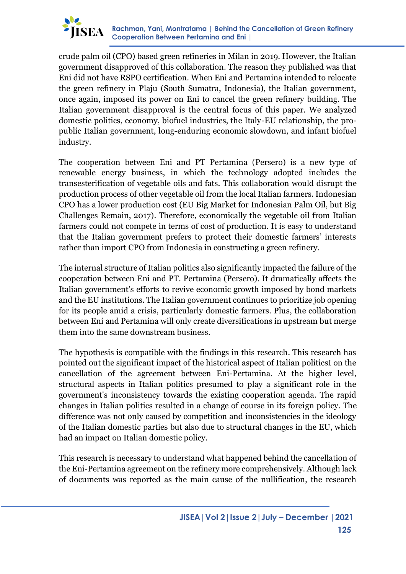

crude palm oil (CPO) based green refineries in Milan in 2019. However, the Italian government disapproved of this collaboration. The reason they published was that Eni did not have RSPO certification. When Eni and Pertamina intended to relocate the green refinery in Plaju (South Sumatra, Indonesia), the Italian government, once again, imposed its power on Eni to cancel the green refinery building. The Italian government disapproval is the central focus of this paper. We analyzed domestic politics, economy, biofuel industries, the Italy-EU relationship, the propublic Italian government, long-enduring economic slowdown, and infant biofuel industry.

The cooperation between Eni and PT Pertamina (Persero) is a new type of renewable energy business, in which the technology adopted includes the transesterification of vegetable oils and fats. This collaboration would disrupt the production process of other vegetable oil from the local Italian farmers. Indonesian CPO has a lower production cost (EU Big Market for Indonesian Palm Oil, but Big Challenges Remain, 2017). Therefore, economically the vegetable oil from Italian farmers could not compete in terms of cost of production. It is easy to understand that the Italian government prefers to protect their domestic farmers' interests rather than import CPO from Indonesia in constructing a green refinery.

The internal structure of Italian politics also significantly impacted the failure of the cooperation between Eni and PT. Pertamina (Persero). It dramatically affects the Italian government's efforts to revive economic growth imposed by bond markets and the EU institutions. The Italian government continues to prioritize job opening for its people amid a crisis, particularly domestic farmers. Plus, the collaboration between Eni and Pertamina will only create diversifications in upstream but merge them into the same downstream business.

The hypothesis is compatible with the findings in this research. This research has pointed out the significant impact of the historical aspect of Italian politicsI on the cancellation of the agreement between Eni-Pertamina. At the higher level, structural aspects in Italian politics presumed to play a significant role in the government's inconsistency towards the existing cooperation agenda. The rapid changes in Italian politics resulted in a change of course in its foreign policy. The difference was not only caused by competition and inconsistencies in the ideology of the Italian domestic parties but also due to structural changes in the EU, which had an impact on Italian domestic policy.

This research is necessary to understand what happened behind the cancellation of the Eni-Pertamina agreement on the refinery more comprehensively. Although lack of documents was reported as the main cause of the nullification, the research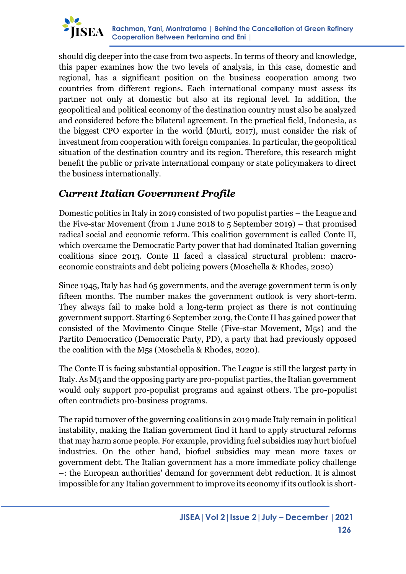

should dig deeper into the case from two aspects. In terms of theory and knowledge, this paper examines how the two levels of analysis, in this case, domestic and regional, has a significant position on the business cooperation among two countries from different regions. Each international company must assess its partner not only at domestic but also at its regional level. In addition, the geopolitical and political economy of the destination country must also be analyzed and considered before the bilateral agreement. In the practical field, Indonesia, as the biggest CPO exporter in the world (Murti, 2017), must consider the risk of investment from cooperation with foreign companies. In particular, the geopolitical situation of the destination country and its region. Therefore, this research might benefit the public or private international company or state policymakers to direct the business internationally.

# *Current Italian Government Profile*

Domestic politics in Italy in 2019 consisted of two populist parties – the League and the Five-star Movement (from 1 June 2018 to 5 September 2019) – that promised radical social and economic reform. This coalition government is called Conte II, which overcame the Democratic Party power that had dominated Italian governing coalitions since 2013. Conte II faced a classical structural problem: macroeconomic constraints and debt policing powers (Moschella & Rhodes, 2020)

Since 1945, Italy has had 65 governments, and the average government term is only fifteen months. The number makes the government outlook is very short-term. They always fail to make hold a long-term project as there is not continuing government support. Starting 6 September 2019, the Conte II has gained power that consisted of the Movimento Cinque Stelle (Five-star Movement, M5s) and the Partito Democratico (Democratic Party, PD), a party that had previously opposed the coalition with the M5s (Moschella & Rhodes, 2020).

The Conte II is facing substantial opposition. The League is still the largest party in Italy. As M5 and the opposing party are pro-populist parties, the Italian government would only support pro-populist programs and against others. The pro-populist often contradicts pro-business programs.

The rapid turnover of the governing coalitions in 2019 made Italy remain in political instability, making the Italian government find it hard to apply structural reforms that may harm some people. For example, providing fuel subsidies may hurt biofuel industries. On the other hand, biofuel subsidies may mean more taxes or government debt. The Italian government has a more immediate policy challenge –: the European authorities' demand for government debt reduction. It is almost impossible for any Italian government to improve its economy if its outlook is short-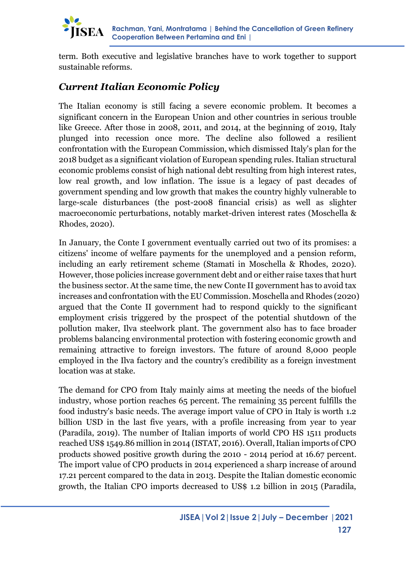

term. Both executive and legislative branches have to work together to support sustainable reforms.

# *Current Italian Economic Policy*

The Italian economy is still facing a severe economic problem. It becomes a significant concern in the European Union and other countries in serious trouble like Greece. After those in 2008, 2011, and 2014, at the beginning of 2019, Italy plunged into recession once more. The decline also followed a resilient confrontation with the European Commission, which dismissed Italy's plan for the 2018 budget as a significant violation of European spending rules. Italian structural economic problems consist of high national debt resulting from high interest rates, low real growth, and low inflation. The issue is a legacy of past decades of government spending and low growth that makes the country highly vulnerable to large-scale disturbances (the post-2008 financial crisis) as well as slighter macroeconomic perturbations, notably market-driven interest rates (Moschella & Rhodes, 2020).

In January, the Conte I government eventually carried out two of its promises: a citizens' income of welfare payments for the unemployed and a pension reform, including an early retirement scheme (Stamati in Moschella & Rhodes, 2020). However, those policies increase government debt and or either raise taxes that hurt the business sector. At the same time, the new Conte II government has to avoid tax increases and confrontation with the EU Commission. Moschella and Rhodes (2020) argued that the Conte II government had to respond quickly to the significant employment crisis triggered by the prospect of the potential shutdown of the pollution maker, Ilva steelwork plant. The government also has to face broader problems balancing environmental protection with fostering economic growth and remaining attractive to foreign investors. The future of around 8,000 people employed in the Ilva factory and the country's credibility as a foreign investment location was at stake.

The demand for CPO from Italy mainly aims at meeting the needs of the biofuel industry, whose portion reaches 65 percent. The remaining 35 percent fulfills the food industry's basic needs. The average import value of CPO in Italy is worth 1.2 billion USD in the last five years, with a profile increasing from year to year (Paradila, 2019). The number of Italian imports of world CPO HS 1511 products reached US\$ 1549.86 million in 2014 (ISTAT, 2016). Overall, Italian imports of CPO products showed positive growth during the 2010 - 2014 period at 16.67 percent. The import value of CPO products in 2014 experienced a sharp increase of around 17.21 percent compared to the data in 2013. Despite the Italian domestic economic growth, the Italian CPO imports decreased to US\$ 1.2 billion in 2015 (Paradila,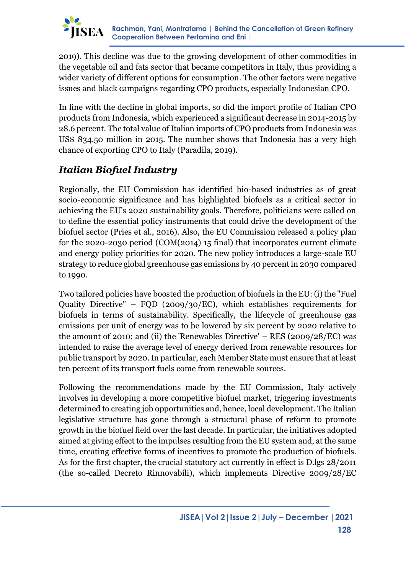

2019). This decline was due to the growing development of other commodities in the vegetable oil and fats sector that became competitors in Italy, thus providing a wider variety of different options for consumption. The other factors were negative issues and black campaigns regarding CPO products, especially Indonesian CPO.

In line with the decline in global imports, so did the import profile of Italian CPO products from Indonesia, which experienced a significant decrease in 2014-2015 by 28.6 percent. The total value of Italian imports of CPO products from Indonesia was US\$ 834.50 million in 2015. The number shows that Indonesia has a very high chance of exporting CPO to Italy (Paradila, 2019).

# *Italian Biofuel Industry*

Regionally, the EU Commission has identified bio-based industries as of great socio-economic significance and has highlighted biofuels as a critical sector in achieving the EU's 2020 sustainability goals. Therefore, politicians were called on to define the essential policy instruments that could drive the development of the biofuel sector (Pries et al., 2016). Also, the EU Commission released a policy plan for the 2020-2030 period (COM(2014) 15 final) that incorporates current climate and energy policy priorities for 2020. The new policy introduces a large-scale EU strategy to reduce global greenhouse gas emissions by 40 percent in 2030 compared to 1990.

Two tailored policies have boosted the production of biofuels in the EU: (i) the "Fuel Quality Directive" – FQD (2009/30/EC), which establishes requirements for biofuels in terms of sustainability. Specifically, the lifecycle of greenhouse gas emissions per unit of energy was to be lowered by six percent by 2020 relative to the amount of 2010; and (ii) the 'Renewables Directive' – RES (2009/28/EC) was intended to raise the average level of energy derived from renewable resources for public transport by 2020. In particular, each Member State must ensure that at least ten percent of its transport fuels come from renewable sources.

Following the recommendations made by the EU Commission, Italy actively involves in developing a more competitive biofuel market, triggering investments determined to creating job opportunities and, hence, local development. The Italian legislative structure has gone through a structural phase of reform to promote growth in the biofuel field over the last decade. In particular, the initiatives adopted aimed at giving effect to the impulses resulting from the EU system and, at the same time, creating effective forms of incentives to promote the production of biofuels. As for the first chapter, the crucial statutory act currently in effect is D.lgs 28/2011 (the so-called Decreto Rinnovabili), which implements Directive 2009/28/EC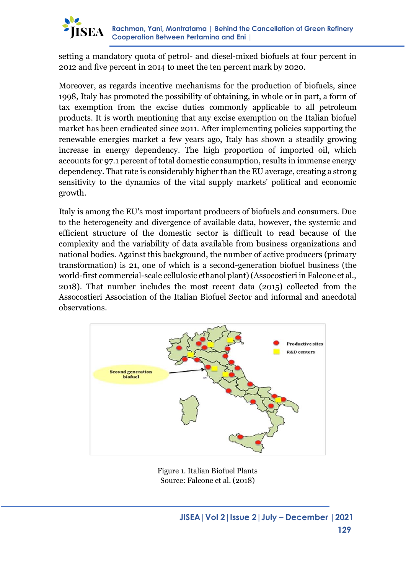

setting a mandatory quota of petrol- and diesel-mixed biofuels at four percent in 2012 and five percent in 2014 to meet the ten percent mark by 2020.

Moreover, as regards incentive mechanisms for the production of biofuels, since 1998, Italy has promoted the possibility of obtaining, in whole or in part, a form of tax exemption from the excise duties commonly applicable to all petroleum products. It is worth mentioning that any excise exemption on the Italian biofuel market has been eradicated since 2011. After implementing policies supporting the renewable energies market a few years ago, Italy has shown a steadily growing increase in energy dependency. The high proportion of imported oil, which accounts for 97.1 percent of total domestic consumption, results in immense energy dependency. That rate is considerably higher than the EU average, creating a strong sensitivity to the dynamics of the vital supply markets' political and economic growth.

Italy is among the EU's most important producers of biofuels and consumers. Due to the heterogeneity and divergence of available data, however, the systemic and efficient structure of the domestic sector is difficult to read because of the complexity and the variability of data available from business organizations and national bodies. Against this background, the number of active producers (primary transformation) is 21, one of which is a second-generation biofuel business (the world-first commercial-scale cellulosic ethanol plant) (Assocostieri in Falcone et al., 2018). That number includes the most recent data (2015) collected from the Assocostieri Association of the Italian Biofuel Sector and informal and anecdotal observations.



Figure 1. Italian Biofuel Plants Source: Falcone et al. (2018)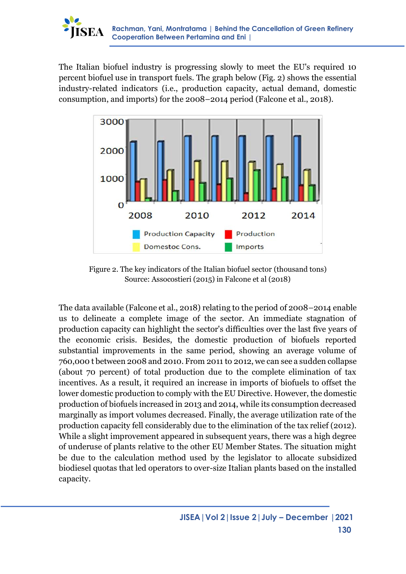

The Italian biofuel industry is progressing slowly to meet the EU's required 10 percent biofuel use in transport fuels. The graph below (Fig. 2) shows the essential industry-related indicators (i.e., production capacity, actual demand, domestic consumption, and imports) for the 2008–2014 period (Falcone et al., 2018).



Figure 2. The key indicators of the Italian biofuel sector (thousand tons) Source: Assocostieri (2015) in Falcone et al (2018)

The data available (Falcone et al., 2018) relating to the period of 2008–2014 enable us to delineate a complete image of the sector. An immediate stagnation of production capacity can highlight the sector's difficulties over the last five years of the economic crisis. Besides, the domestic production of biofuels reported substantial improvements in the same period, showing an average volume of 760,000 t between 2008 and 2010. From 2011 to 2012, we can see a sudden collapse (about 70 percent) of total production due to the complete elimination of tax incentives. As a result, it required an increase in imports of biofuels to offset the lower domestic production to comply with the EU Directive. However, the domestic production of biofuels increased in 2013 and 2014, while its consumption decreased marginally as import volumes decreased. Finally, the average utilization rate of the production capacity fell considerably due to the elimination of the tax relief (2012). While a slight improvement appeared in subsequent years, there was a high degree of underuse of plants relative to the other EU Member States. The situation might be due to the calculation method used by the legislator to allocate subsidized biodiesel quotas that led operators to over-size Italian plants based on the installed capacity.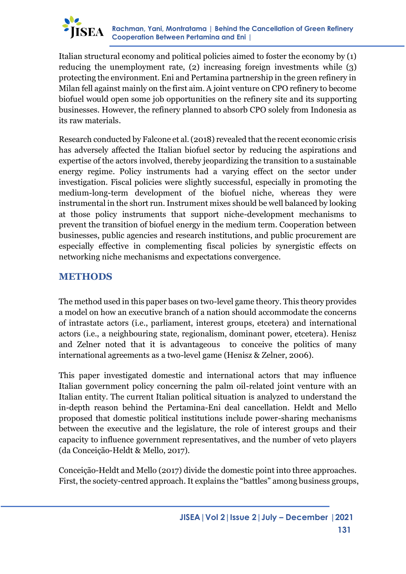

Italian structural economy and political policies aimed to foster the economy by (1) reducing the unemployment rate, (2) increasing foreign investments while (3) protecting the environment. Eni and Pertamina partnership in the green refinery in Milan fell against mainly on the first aim. A joint venture on CPO refinery to become biofuel would open some job opportunities on the refinery site and its supporting businesses. However, the refinery planned to absorb CPO solely from Indonesia as its raw materials.

Research conducted by Falcone et al. (2018) revealed that the recent economic crisis has adversely affected the Italian biofuel sector by reducing the aspirations and expertise of the actors involved, thereby jeopardizing the transition to a sustainable energy regime. Policy instruments had a varying effect on the sector under investigation. Fiscal policies were slightly successful, especially in promoting the medium-long-term development of the biofuel niche, whereas they were instrumental in the short run. Instrument mixes should be well balanced by looking at those policy instruments that support niche-development mechanisms to prevent the transition of biofuel energy in the medium term. Cooperation between businesses, public agencies and research institutions, and public procurement are especially effective in complementing fiscal policies by synergistic effects on networking niche mechanisms and expectations convergence.

### **METHODS**

The method used in this paper bases on two-level game theory. This theory provides a model on how an executive branch of a nation should accommodate the concerns of intrastate actors (i.e., parliament, interest groups, etcetera) and international actors (i.e., a neighbouring state, regionalism, dominant power, etcetera). Henisz and Zelner noted that it is advantageous to conceive the politics of many international agreements as a two-level game (Henisz & Zelner, 2006).

This paper investigated domestic and international actors that may influence Italian government policy concerning the palm oil-related joint venture with an Italian entity. The current Italian political situation is analyzed to understand the in-depth reason behind the Pertamina-Eni deal cancellation. Heldt and Mello proposed that domestic political institutions include power-sharing mechanisms between the executive and the legislature, the role of interest groups and their capacity to influence government representatives, and the number of veto players (da Conceição-Heldt & Mello, 2017).

Conceição-Heldt and Mello (2017) divide the domestic point into three approaches. First, the society-centred approach. It explains the "battles" among business groups,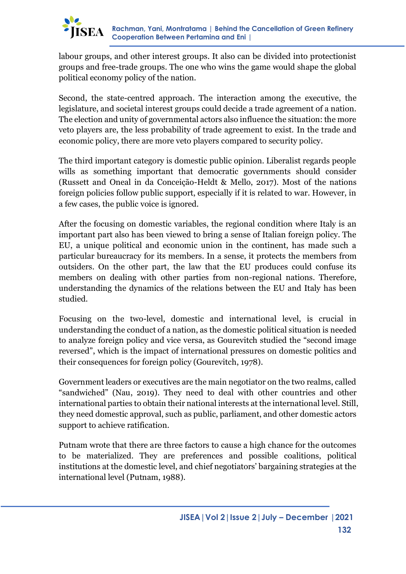

labour groups, and other interest groups. It also can be divided into protectionist groups and free-trade groups. The one who wins the game would shape the global political economy policy of the nation.

Second, the state-centred approach. The interaction among the executive, the legislature, and societal interest groups could decide a trade agreement of a nation. The election and unity of governmental actors also influence the situation: the more veto players are, the less probability of trade agreement to exist. In the trade and economic policy, there are more veto players compared to security policy.

The third important category is domestic public opinion. Liberalist regards people wills as something important that democratic governments should consider (Russett and Oneal in da Conceição-Heldt & Mello, 2017). Most of the nations foreign policies follow public support, especially if it is related to war. However, in a few cases, the public voice is ignored.

After the focusing on domestic variables, the regional condition where Italy is an important part also has been viewed to bring a sense of Italian foreign policy. The EU, a unique political and economic union in the continent, has made such a particular bureaucracy for its members. In a sense, it protects the members from outsiders. On the other part, the law that the EU produces could confuse its members on dealing with other parties from non-regional nations. Therefore, understanding the dynamics of the relations between the EU and Italy has been studied.

Focusing on the two-level, domestic and international level, is crucial in understanding the conduct of a nation, as the domestic political situation is needed to analyze foreign policy and vice versa, as Gourevitch studied the "second image reversed", which is the impact of international pressures on domestic politics and their consequences for foreign policy (Gourevitch, 1978).

Government leaders or executives are the main negotiator on the two realms, called "sandwiched" (Nau, 2019). They need to deal with other countries and other international parties to obtain their national interests at the international level. Still, they need domestic approval, such as public, parliament, and other domestic actors support to achieve ratification.

Putnam wrote that there are three factors to cause a high chance for the outcomes to be materialized. They are preferences and possible coalitions, political institutions at the domestic level, and chief negotiators' bargaining strategies at the international level (Putnam, 1988).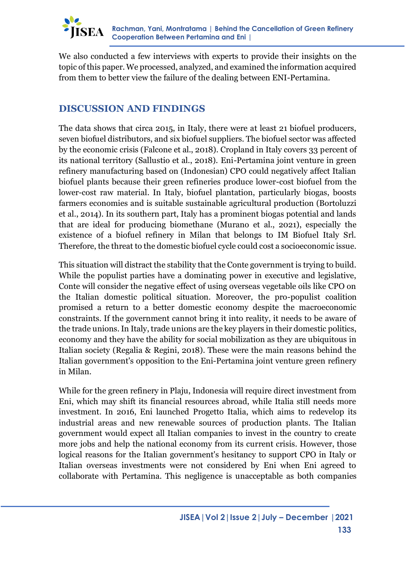

We also conducted a few interviews with experts to provide their insights on the topic of this paper. We processed, analyzed, and examined the information acquired from them to better view the failure of the dealing between ENI-Pertamina.

# **DISCUSSION AND FINDINGS**

The data shows that circa 2015, in Italy, there were at least 21 biofuel producers, seven biofuel distributors, and six biofuel suppliers. The biofuel sector was affected by the economic crisis (Falcone et al., 2018). Cropland in Italy covers 33 percent of its national territory (Sallustio et al., 2018). Eni-Pertamina joint venture in green refinery manufacturing based on (Indonesian) CPO could negatively affect Italian biofuel plants because their green refineries produce lower-cost biofuel from the lower-cost raw material. In Italy, biofuel plantation, particularly biogas, boosts farmers economies and is suitable sustainable agricultural production (Bortoluzzi et al., 2014). In its southern part, Italy has a prominent biogas potential and lands that are ideal for producing biomethane (Murano et al., 2021), especially the existence of a biofuel refinery in Milan that belongs to IM Biofuel Italy Srl. Therefore, the threat to the domestic biofuel cycle could cost a socioeconomic issue.

This situation will distract the stability that the Conte government is trying to build. While the populist parties have a dominating power in executive and legislative, Conte will consider the negative effect of using overseas vegetable oils like CPO on the Italian domestic political situation. Moreover, the pro-populist coalition promised a return to a better domestic economy despite the macroeconomic constraints. If the government cannot bring it into reality, it needs to be aware of the trade unions. In Italy, trade unions are the key players in their domestic politics, economy and they have the ability for social mobilization as they are ubiquitous in Italian society (Regalia & Regini, 2018). These were the main reasons behind the Italian government's opposition to the Eni-Pertamina joint venture green refinery in Milan.

While for the green refinery in Plaju, Indonesia will require direct investment from Eni, which may shift its financial resources abroad, while Italia still needs more investment. In 2016, Eni launched Progetto Italia, which aims to redevelop its industrial areas and new renewable sources of production plants. The Italian government would expect all Italian companies to invest in the country to create more jobs and help the national economy from its current crisis. However, those logical reasons for the Italian government's hesitancy to support CPO in Italy or Italian overseas investments were not considered by Eni when Eni agreed to collaborate with Pertamina. This negligence is unacceptable as both companies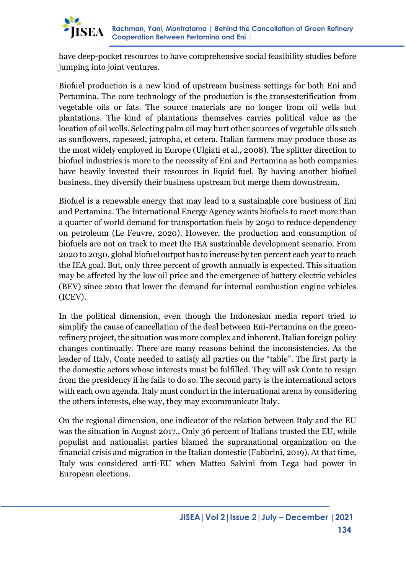

have deep-pocket resources to have comprehensive social feasibility studies before jumping into joint ventures.

Biofuel production is a new kind of upstream business settings for both Eni and Pertamina. The core technology of the production is the transesterification from vegetable oils or fats. The source materials are no longer from oil wells but plantations. The kind of plantations themselves carries political value as the location of oil wells. Selecting palm oil may hurt other sources of vegetable oils such as sunflowers, rapeseed, jatropha, et cetera. Italian farmers may produce those as the most widely employed in Europe (Ulgiati et al., 2008). The splitter direction to biofuel industries is more to the necessity of Eni and Pertamina as both companies have heavily invested their resources in liquid fuel. By having another biofuel business, they diversify their business upstream but merge them downstream.

Biofuel is a renewable energy that may lead to a sustainable core business of Eni and Pertamina. The International Energy Agency wants biofuels to meet more than a quarter of world demand for transportation fuels by 2050 to reduce dependency on petroleum (Le Feuvre, 2020). However, the production and consumption of biofuels are not on track to meet the IEA sustainable development scenario. From 2020 to 2030, global biofuel output has to increase by ten percent each year to reach the IEA goal. But, only three percent of growth annually is expected. This situation may be affected by the low oil price and the emergence of battery electric vehicles (BEV) since 2010 that lower the demand for internal combustion engine vehicles (ICEV).

In the political dimension, even though the Indonesian media report tried to simplify the cause of cancellation of the deal between Eni-Pertamina on the greenrefinery project, the situation was more complex and inherent. Italian foreign policy changes continually. There are many reasons behind the inconsistencies. As the leader of Italy, Conte needed to satisfy all parties on the "table". The first party is the domestic actors whose interests must be fulfilled. They will ask Conte to resign from the presidency if he fails to do so. The second party is the international actors with each own agenda. Italy must conduct in the international arena by considering the others interests, else way, they may excommunicate Italy.

On the regional dimension, one indicator of the relation between Italy and the EU was the situation in August 2017., Only 36 percent of Italians trusted the EU, while populist and nationalist parties blamed the supranational organization on the financial crisis and migration in the Italian domestic (Fabbrini, 2019). At that time, Italy was considered anti-EU when Matteo Salvini from Lega had power in European elections.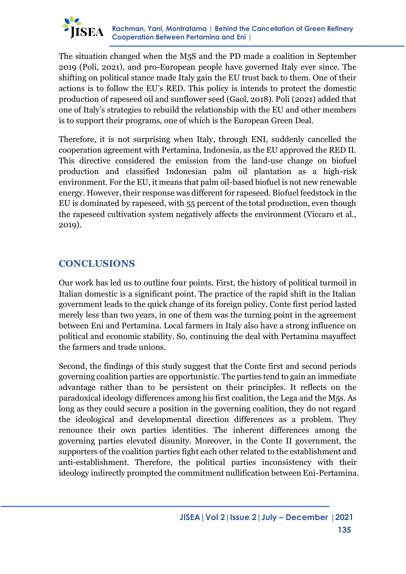

The situation changed when the M5S and the PD made a coalition in September 2019 (Poli, 2021), and pro-European people have governed Italy ever since. The shifting on political stance made Italy gain the EU trust back to them. One of their actions is to follow the EU's RED. This policy is intends to protect the domestic production of rapeseed oil and sunflower seed (Gaol, 2018). Poli (2021) added that one of Italy's strategies to rebuild the relationship with the EU and other members is to support their programs, one of which is the European Green Deal.

Therefore, it is not surprising when Italy, through ENI, suddenly cancelled the cooperation agreement with Pertamina, Indonesia, as the EU approved the RED II. This directive considered the emission from the land-use change on biofuel production and classified Indonesian palm oil plantation as a high-risk environment. For the EU, it means that palm oil-based biofuel is not new renewable energy. However, their response was different for rapeseed. Biofuel feedstock in the EU is dominated by rapeseed, with 55 percent of the total production, even though the rapeseed cultivation system negatively affects the environment (Viccaro et al., 2019).

# **CONCLUSIONS**

Our work has led us to outline four points. First, the history of political turmoil in Italian domestic is a significant point. The practice of the rapid shift in the Italian government leads to the quick change of its foreign policy. Conte first period lasted merely less than two years, in one of them was the turning point in the agreement between Eni and Pertamina. Local farmers in Italy also have a strong influence on political and economic stability. So, continuing the deal with Pertamina mayaffect the farmers and trade unions.

Second, the findings of this study suggest that the Conte first and second periods governing coalition parties are opportunistic. The parties tend to gain an immediate advantage rather than to be persistent on their principles. It reflects on the paradoxical ideology differences among his first coalition, the Lega and the M5s. As long as they could secure a position in the governing coalition, they do not regard the ideological and developmental direction differences as a problem. They renounce their own parties identities. The inherent differences among the governing parties elevated disunity. Moreover, in the Conte II government, the supporters of the coalition parties fight each other related to the establishment and anti-establishment. Therefore, the political parties inconsistency with their ideology indirectly prompted the commitment nullification between Eni-Pertamina.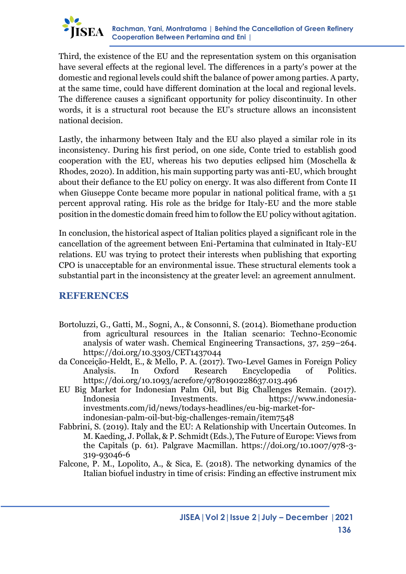

Third, the existence of the EU and the representation system on this organisation have several effects at the regional level. The differences in a party's power at the domestic and regional levels could shift the balance of power among parties. A party, at the same time, could have different domination at the local and regional levels. The difference causes a significant opportunity for policy discontinuity. In other words, it is a structural root because the EU's structure allows an inconsistent national decision.

Lastly, the inharmony between Italy and the EU also played a similar role in its inconsistency. During his first period, on one side, Conte tried to establish good cooperation with the EU, whereas his two deputies eclipsed him (Moschella & Rhodes, 2020). In addition, his main supporting party was anti-EU, which brought about their defiance to the EU policy on energy. It was also different from Conte II when Giuseppe Conte became more popular in national political frame, with a 51 percent approval rating. His role as the bridge for Italy-EU and the more stable position in the domestic domain freed him to follow the EU policy without agitation.

In conclusion, the historical aspect of Italian politics played a significant role in the cancellation of the agreement between Eni-Pertamina that culminated in Italy-EU relations. EU was trying to protect their interests when publishing that exporting CPO is unacceptable for an environmental issue. These structural elements took a substantial part in the inconsistency at the greater level: an agreement annulment.

### **REFERENCES**

- Bortoluzzi, G., Gatti, M., Sogni, A., & Consonni, S. (2014). Biomethane production from agricultural resources in the Italian scenario: Techno-Economic analysis of water wash. Chemical Engineering Transactions, 37, 259–264. https://doi.org/10.3303/CET1437044
- da Conceição-Heldt, E., & Mello, P. A. (2017). Two-Level Games in Foreign Policy Analysis. In Oxford Research Encyclopedia of Politics. https://doi.org/10.1093/acrefore/9780190228637.013.496
- EU Big Market for Indonesian Palm Oil, but Big Challenges Remain. (2017). Indonesia Investments. https://www.indonesiainvestments.com/id/news/todays-headlines/eu-big-market-forindonesian-palm-oil-but-big-challenges-remain/item7548
- Fabbrini, S. (2019). Italy and the EU: A Relationship with Uncertain Outcomes. In M. Kaeding, J. Pollak, & P. Schmidt (Eds.), The Future of Europe: Views from the Capitals (p. 61). Palgrave Macmillan. https://doi.org/10.1007/978-3- 319-93046-6
- Falcone, P. M., Lopolito, A., & Sica, E. (2018). The networking dynamics of the Italian biofuel industry in time of crisis: Finding an effective instrument mix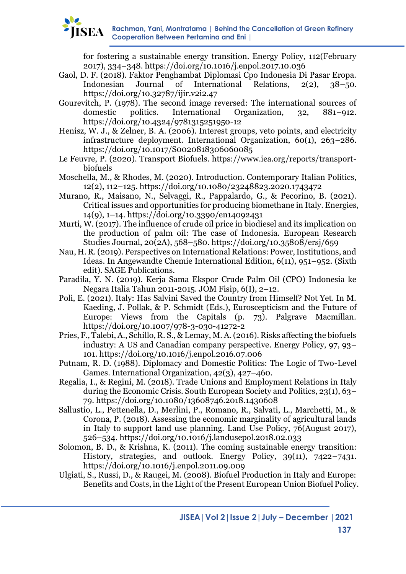for fostering a sustainable energy transition. Energy Policy, 112(February 2017), 334–348. https://doi.org/10.1016/j.enpol.2017.10.036

- Gaol, D. F. (2018). Faktor Penghambat Diplomasi Cpo Indonesia Di Pasar Eropa. Indonesian Journal of International Relations, 2(2), 38–50. https://doi.org/10.32787/ijir.v2i2.47
- Gourevitch, P. (1978). The second image reversed: The international sources of domestic politics. International Organization, 32, 881–912. https://doi.org/10.4324/9781315251950-12
- Henisz, W. J., & Zelner, B. A. (2006). Interest groups, veto points, and electricity infrastructure deployment. International Organization, 60(1), 263–286. https://doi.org/10.1017/S0020818306060085
- Le Feuvre, P. (2020). Transport Biofuels. https://www.iea.org/reports/transportbiofuels
- Moschella, M., & Rhodes, M. (2020). Introduction. Contemporary Italian Politics, 12(2), 112–125. https://doi.org/10.1080/23248823.2020.1743472
- Murano, R., Maisano, N., Selvaggi, R., Pappalardo, G., & Pecorino, B. (2021). Critical issues and opportunities for producing biomethane in Italy. Energies, 14(9), 1–14. https://doi.org/10.3390/en14092431
- Murti, W. (2017). The influence of crude oil price in biodiesel and its implication on the production of palm oil: The case of Indonesia. European Research Studies Journal, 20(2A), 568–580. https://doi.org/10.35808/ersj/659
- Nau, H. R. (2019). Perspectives on International Relations: Power, Institutions, and Ideas. In Angewandte Chemie International Edition, 6(11), 951–952. (Sixth edit). SAGE Publications.
- Paradila, Y. N. (2019). Kerja Sama Ekspor Crude Palm Oil (CPO) Indonesia ke Negara Italia Tahun 2011-2015. JOM Fisip, 6(I), 2–12.
- Poli, E. (2021). Italy: Has Salvini Saved the Country from Himself? Not Yet. In M. Kaeding, J. Pollak, & P. Schmidt (Eds.), Euroscepticism and the Future of Europe: Views from the Capitals (p. 73). Palgrave Macmillan. https://doi.org/10.1007/978-3-030-41272-2
- Pries, F., Talebi, A., Schillo, R. S., & Lemay, M. A. (2016). Risks affecting the biofuels industry: A US and Canadian company perspective. Energy Policy, 97, 93– 101. https://doi.org/10.1016/j.enpol.2016.07.006
- Putnam, R. D. (1988). Diplomacy and Domestic Politics: The Logic of Two-Level Games. International Organization, 42(3), 427–460.
- Regalia, I., & Regini, M. (2018). Trade Unions and Employment Relations in Italy during the Economic Crisis. South European Society and Politics, 23(1), 63– 79. https://doi.org/10.1080/13608746.2018.1430608
- Sallustio, L., Pettenella, D., Merlini, P., Romano, R., Salvati, L., Marchetti, M., & Corona, P. (2018). Assessing the economic marginality of agricultural lands in Italy to support land use planning. Land Use Policy, 76(August 2017), 526–534. https://doi.org/10.1016/j.landusepol.2018.02.033
- Solomon, B. D., & Krishna, K. (2011). The coming sustainable energy transition: History, strategies, and outlook. Energy Policy, 39(11), 7422–7431. https://doi.org/10.1016/j.enpol.2011.09.009
- Ulgiati, S., Russi, D., & Raugei, M. (2008). Biofuel Production in Italy and Europe: Benefits and Costs, in the Light of the Present European Union Biofuel Policy.